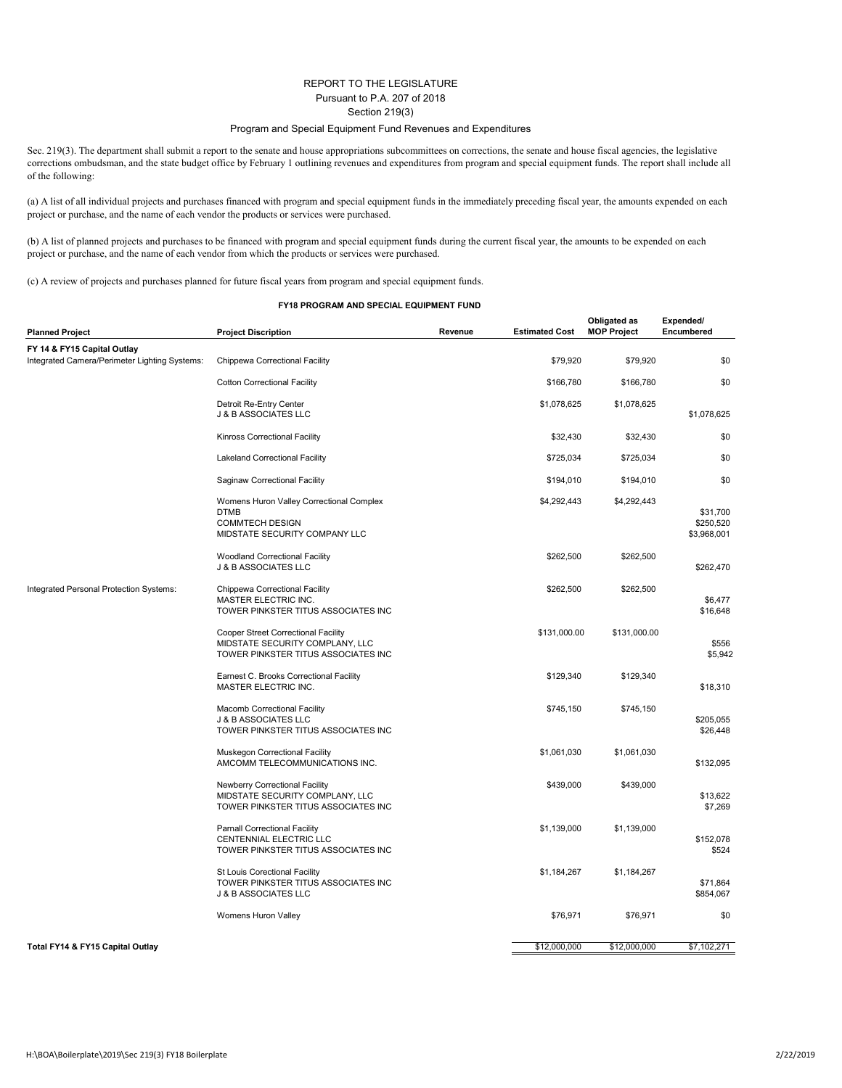## REPORT TO THE LEGISLATURE Pursuant to P.A. 207 of 2018 Section 219(3)

## Program and Special Equipment Fund Revenues and Expenditures

Sec. 219(3). The department shall submit a report to the senate and house appropriations subcommittees on corrections, the senate and house fiscal agencies, the legislative corrections ombudsman, and the state budget office by February 1 outlining revenues and expenditures from program and special equipment funds. The report shall include all of the following:

(a) A list of all individual projects and purchases financed with program and special equipment funds in the immediately preceding fiscal year, the amounts expended on each project or purchase, and the name of each vendor the products or services were purchased.

(b) A list of planned projects and purchases to be financed with program and special equipment funds during the current fiscal year, the amounts to be expended on each project or purchase, and the name of each vendor from which the products or services were purchased.

(c) A review of projects and purchases planned for future fiscal years from program and special equipment funds.

## **FY18 PROGRAM AND SPECIAL EQUIPMENT FUND**

| <b>Planned Project</b>                                                       | <b>Project Discription</b>                                                                                         | Revenue | <b>Estimated Cost</b> | Obligated as<br><b>MOP Project</b> | Expended/<br>Encumbered              |
|------------------------------------------------------------------------------|--------------------------------------------------------------------------------------------------------------------|---------|-----------------------|------------------------------------|--------------------------------------|
| FY 14 & FY15 Capital Outlay<br>Integrated Camera/Perimeter Lighting Systems: |                                                                                                                    |         |                       |                                    |                                      |
|                                                                              | Chippewa Correctional Facility                                                                                     |         | \$79,920              | \$79,920                           | \$0                                  |
|                                                                              | <b>Cotton Correctional Facility</b>                                                                                |         | \$166,780             | \$166,780                          | \$0                                  |
|                                                                              | Detroit Re-Entry Center<br>J & B ASSOCIATES LLC                                                                    |         | \$1,078,625           | \$1,078,625                        | \$1,078,625                          |
|                                                                              | Kinross Correctional Facility                                                                                      |         | \$32,430              | \$32,430                           | \$0                                  |
|                                                                              | Lakeland Correctional Facility                                                                                     |         | \$725,034             | \$725,034                          | \$0                                  |
|                                                                              | Saginaw Correctional Facility                                                                                      |         | \$194,010             | \$194,010                          | \$0                                  |
|                                                                              | Womens Huron Valley Correctional Complex<br><b>DTMB</b><br><b>COMMTECH DESIGN</b><br>MIDSTATE SECURITY COMPANY LLC |         | \$4,292,443           | \$4,292,443                        | \$31,700<br>\$250,520<br>\$3,968,001 |
|                                                                              | Woodland Correctional Facility<br>J & B ASSOCIATES LLC                                                             |         | \$262,500             | \$262,500                          | \$262,470                            |
| Integrated Personal Protection Systems:                                      | <b>Chippewa Correctional Facility</b><br>MASTER ELECTRIC INC.<br>TOWER PINKSTER TITUS ASSOCIATES INC               |         | \$262,500             | \$262,500                          | \$6,477<br>\$16,648                  |
|                                                                              | Cooper Street Correctional Facility<br>MIDSTATE SECURITY COMPLANY, LLC<br>TOWER PINKSTER TITUS ASSOCIATES INC      |         | \$131,000.00          | \$131,000.00                       | \$556<br>\$5,942                     |
|                                                                              | Earnest C. Brooks Correctional Facility<br><b>MASTER ELECTRIC INC.</b>                                             |         | \$129,340             | \$129,340                          | \$18,310                             |
|                                                                              | Macomb Correctional Facility<br>J & B ASSOCIATES LLC<br>TOWER PINKSTER TITUS ASSOCIATES INC                        |         | \$745,150             | \$745,150                          | \$205,055<br>\$26,448                |
|                                                                              | <b>Muskegon Correctional Facility</b><br>AMCOMM TELECOMMUNICATIONS INC.                                            |         | \$1,061,030           | \$1,061,030                        | \$132,095                            |
|                                                                              | Newberry Correctional Facility<br>MIDSTATE SECURITY COMPLANY, LLC<br>TOWER PINKSTER TITUS ASSOCIATES INC           |         | \$439,000             | \$439,000                          | \$13,622<br>\$7,269                  |
|                                                                              | <b>Parnall Correctional Facility</b><br>CENTENNIAL ELECTRIC LLC<br>TOWER PINKSTER TITUS ASSOCIATES INC             |         | \$1,139,000           | \$1,139,000                        | \$152,078<br>\$524                   |
|                                                                              | St Louis Corectional Facility<br>TOWER PINKSTER TITUS ASSOCIATES INC<br>J & B ASSOCIATES LLC                       |         | \$1,184,267           | \$1,184,267                        | \$71,864<br>\$854,067                |
|                                                                              | Womens Huron Valley                                                                                                |         | \$76,971              | \$76,971                           | \$0                                  |
| Total FY14 & FY15 Capital Outlay                                             |                                                                                                                    |         | \$12,000,000          | \$12,000,000                       | \$7,102,271                          |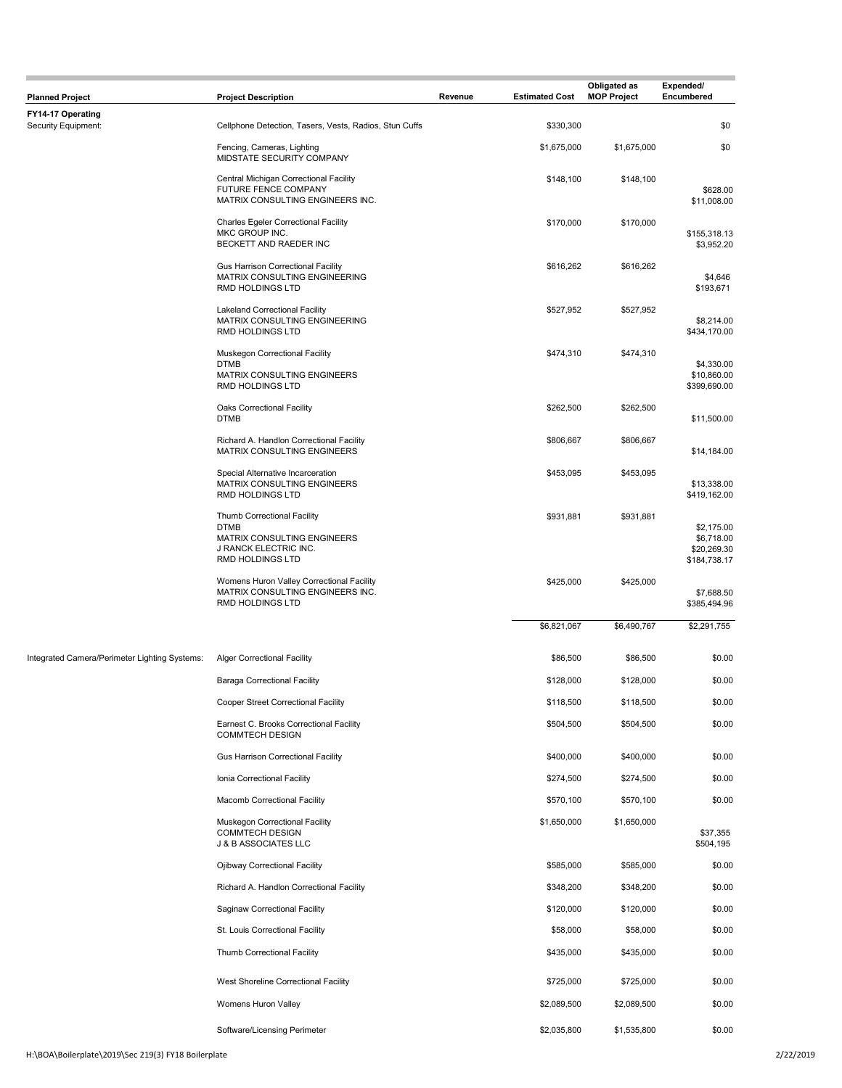| <b>Planned Project</b>                        | <b>Project Description</b>                                                                                             | Revenue | <b>Estimated Cost</b> | Obligated as<br><b>MOP Project</b> | Expended/<br>Encumbered                                 |
|-----------------------------------------------|------------------------------------------------------------------------------------------------------------------------|---------|-----------------------|------------------------------------|---------------------------------------------------------|
| FY14-17 Operating<br>Security Equipment:      | Cellphone Detection, Tasers, Vests, Radios, Stun Cuffs                                                                 |         | \$330,300             |                                    | \$0                                                     |
|                                               | Fencing, Cameras, Lighting                                                                                             |         | \$1,675,000           | \$1,675,000                        | \$0                                                     |
|                                               | MIDSTATE SECURITY COMPANY                                                                                              |         |                       |                                    |                                                         |
|                                               | Central Michigan Correctional Facility<br>FUTURE FENCE COMPANY<br>MATRIX CONSULTING ENGINEERS INC.                     |         | \$148,100             | \$148,100                          | \$628.00<br>\$11,008.00                                 |
|                                               | <b>Charles Egeler Correctional Facility</b><br>MKC GROUP INC.<br>BECKETT AND RAEDER INC                                |         | \$170,000             | \$170,000                          | \$155,318.13<br>\$3,952.20                              |
|                                               | <b>Gus Harrison Correctional Facility</b><br>MATRIX CONSULTING ENGINEERING<br>RMD HOLDINGS LTD                         |         | \$616,262             | \$616,262                          | \$4,646<br>\$193,671                                    |
|                                               | <b>Lakeland Correctional Facility</b><br>MATRIX CONSULTING ENGINEERING<br>RMD HOLDINGS LTD                             |         | \$527,952             | \$527,952                          | \$8,214.00<br>\$434,170.00                              |
|                                               | Muskegon Correctional Facility<br><b>DTMB</b><br>MATRIX CONSULTING ENGINEERS<br>RMD HOLDINGS LTD                       |         | \$474,310             | \$474,310                          | \$4,330.00<br>\$10,860.00<br>\$399,690.00               |
|                                               | Oaks Correctional Facility<br><b>DTMB</b>                                                                              |         | \$262,500             | \$262,500                          | \$11,500.00                                             |
|                                               | Richard A. Handlon Correctional Facility<br>MATRIX CONSULTING ENGINEERS                                                |         | \$806,667             | \$806,667                          | \$14,184.00                                             |
|                                               | Special Alternative Incarceration<br>MATRIX CONSULTING ENGINEERS<br>RMD HOLDINGS LTD                                   |         | \$453,095             | \$453,095                          | \$13,338.00<br>\$419,162.00                             |
|                                               | Thumb Correctional Facility<br><b>DTMB</b><br>MATRIX CONSULTING ENGINEERS<br>J RANCK ELECTRIC INC.<br>RMD HOLDINGS LTD |         | \$931,881             | \$931,881                          | \$2,175.00<br>\$6,718.00<br>\$20,269.30<br>\$184,738.17 |
|                                               | Womens Huron Valley Correctional Facility<br>MATRIX CONSULTING ENGINEERS INC.<br>RMD HOLDINGS LTD                      |         | \$425,000             | \$425,000                          | \$7,688.50<br>\$385,494.96                              |
|                                               |                                                                                                                        |         | \$6,821,067           | \$6,490,767                        | \$2,291,755                                             |
| Integrated Camera/Perimeter Lighting Systems: | <b>Alger Correctional Facility</b>                                                                                     |         | \$86,500              | \$86,500                           | \$0.00                                                  |
|                                               | <b>Baraga Correctional Facility</b>                                                                                    |         | \$128,000             | \$128,000                          | \$0.00                                                  |
|                                               | Cooper Street Correctional Facility                                                                                    |         | \$118,500             | \$118,500                          | \$0.00                                                  |
|                                               | Earnest C. Brooks Correctional Facility<br><b>COMMTECH DESIGN</b>                                                      |         | \$504,500             | \$504,500                          | \$0.00                                                  |
|                                               | Gus Harrison Correctional Facility                                                                                     |         | \$400,000             | \$400,000                          | \$0.00                                                  |
|                                               | Ionia Correctional Facility                                                                                            |         | \$274,500             | \$274,500                          | \$0.00                                                  |
|                                               | <b>Macomb Correctional Facility</b>                                                                                    |         | \$570,100             | \$570,100                          | \$0.00                                                  |
|                                               | Muskegon Correctional Facility<br><b>COMMTECH DESIGN</b><br>J & B ASSOCIATES LLC                                       |         | \$1,650,000           | \$1,650,000                        | \$37,355<br>\$504,195                                   |
|                                               | Ojibway Correctional Facility                                                                                          |         | \$585,000             | \$585,000                          | \$0.00                                                  |
|                                               | Richard A. Handlon Correctional Facility                                                                               |         | \$348,200             | \$348,200                          | \$0.00                                                  |
|                                               | Saginaw Correctional Facility                                                                                          |         | \$120,000             | \$120,000                          | \$0.00                                                  |
|                                               | St. Louis Correctional Facility                                                                                        |         | \$58,000              | \$58,000                           | \$0.00                                                  |
|                                               | Thumb Correctional Facility                                                                                            |         | \$435,000             | \$435,000                          | \$0.00                                                  |
|                                               | West Shoreline Correctional Facility                                                                                   |         | \$725,000             | \$725,000                          | \$0.00                                                  |
|                                               | Womens Huron Valley                                                                                                    |         | \$2,089,500           | \$2,089,500                        | \$0.00                                                  |
|                                               | Software/Licensing Perimeter                                                                                           |         | \$2,035,800           | \$1,535,800                        | \$0.00                                                  |